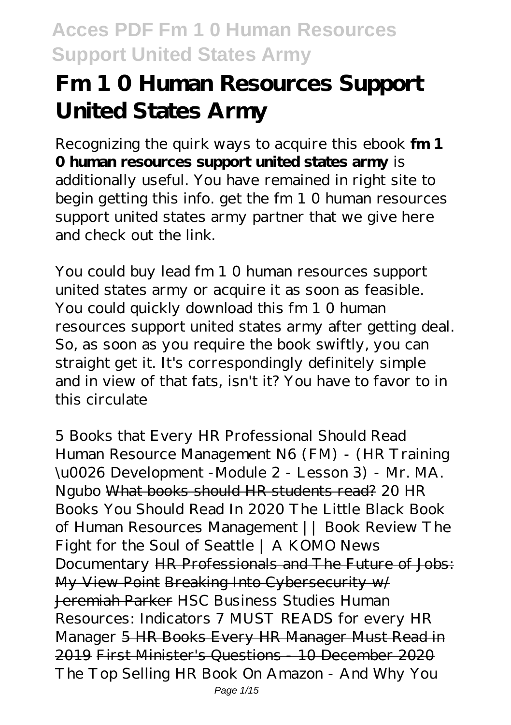# **Fm 1 0 Human Resources Support United States Army**

Recognizing the quirk ways to acquire this ebook **fm 1 0 human resources support united states army** is additionally useful. You have remained in right site to begin getting this info. get the fm 1 0 human resources support united states army partner that we give here and check out the link.

You could buy lead fm 1 0 human resources support united states army or acquire it as soon as feasible. You could quickly download this fm 1 0 human resources support united states army after getting deal. So, as soon as you require the book swiftly, you can straight get it. It's correspondingly definitely simple and in view of that fats, isn't it? You have to favor to in this circulate

*5 Books that Every HR Professional Should Read Human Resource Management N6 (FM) - (HR Training \u0026 Development -Module 2 - Lesson 3) - Mr. MA. Ngubo* What books should HR students read? 20 HR Books You Should Read In 2020 *The Little Black Book of Human Resources Management || Book Review* The Fight for the Soul of Seattle | A KOMO News Documentary HR Professionals and The Future of Jobs: My View Point Breaking Into Cybersecurity w/ Jeremiah Parker HSC Business Studies Human Resources: Indicators *7 MUST READS for every HR Manager* 5 HR Books Every HR Manager Must Read in 2019 First Minister's Questions - 10 December 2020 *The Top Selling HR Book On Amazon - And Why You* Page 1/15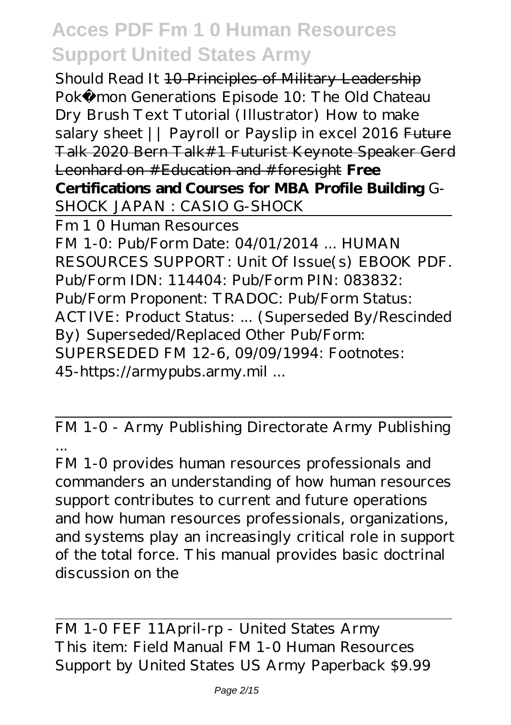*Should Read It* 10 Principles of Military Leadership *Pokémon Generations Episode 10: The Old Chateau Dry Brush Text Tutorial (Illustrator) How to make salary sheet || Payroll or Payslip in excel 2016* Future Talk 2020 Bern Talk#1 Futurist Keynote Speaker Gerd Leonhard on #Education and #foresight **Free Certifications and Courses for MBA Profile Building** G-SHOCK JAPAN : CASIO G-SHOCK

Fm 1 0 Human Resources FM 1-0: Pub/Form Date: 04/01/2014 ... HUMAN RESOURCES SUPPORT: Unit Of Issue(s) EBOOK PDF. Pub/Form IDN: 114404: Pub/Form PIN: 083832: Pub/Form Proponent: TRADOC: Pub/Form Status: ACTIVE: Product Status: ... (Superseded By/Rescinded By) Superseded/Replaced Other Pub/Form: SUPERSEDED FM 12-6, 09/09/1994: Footnotes: 45-https://armypubs.army.mil ...

FM 1-0 - Army Publishing Directorate Army Publishing ...

FM 1-0 provides human resources professionals and commanders an understanding of how human resources support contributes to current and future operations and how human resources professionals, organizations, and systems play an increasingly critical role in support of the total force. This manual provides basic doctrinal discussion on the

FM 1-0 FEF 11April-rp - United States Army This item: Field Manual FM 1-0 Human Resources Support by United States US Army Paperback \$9.99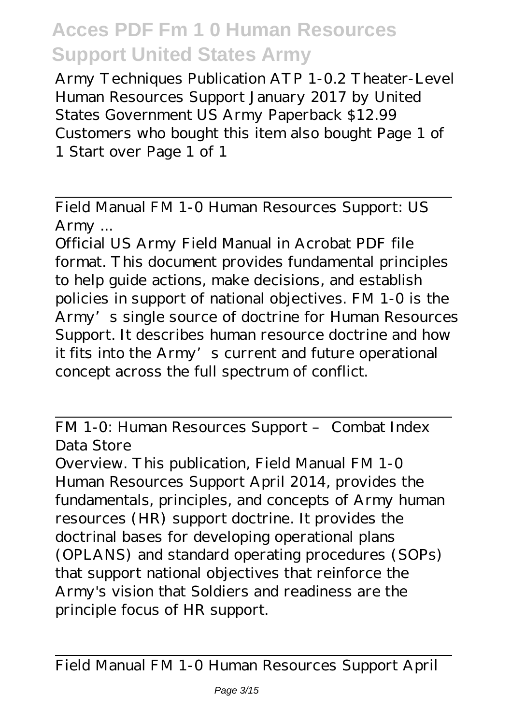Army Techniques Publication ATP 1-0.2 Theater-Level Human Resources Support January 2017 by United States Government US Army Paperback \$12.99 Customers who bought this item also bought Page 1 of 1 Start over Page 1 of 1

Field Manual FM 1-0 Human Resources Support: US Army ...

Official US Army Field Manual in Acrobat PDF file format. This document provides fundamental principles to help guide actions, make decisions, and establish policies in support of national objectives. FM 1-0 is the Army's single source of doctrine for Human Resources Support. It describes human resource doctrine and how it fits into the Army's current and future operational concept across the full spectrum of conflict.

FM 1-0: Human Resources Support – Combat Index Data Store

Overview. This publication, Field Manual FM 1-0 Human Resources Support April 2014, provides the fundamentals, principles, and concepts of Army human resources (HR) support doctrine. It provides the doctrinal bases for developing operational plans (OPLANS) and standard operating procedures (SOPs) that support national objectives that reinforce the Army's vision that Soldiers and readiness are the principle focus of HR support.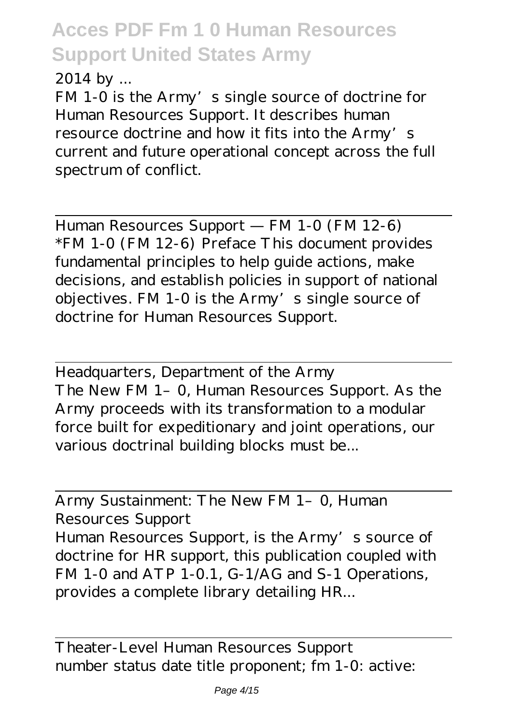2014 by ...

FM 1-0 is the Army's single source of doctrine for Human Resources Support. It describes human resource doctrine and how it fits into the Army's current and future operational concept across the full spectrum of conflict.

Human Resources Support — FM 1-0 (FM 12-6) \*FM 1-0 (FM 12-6) Preface This document provides fundamental principles to help guide actions, make decisions, and establish policies in support of national objectives. FM 1-0 is the Army's single source of doctrine for Human Resources Support.

Headquarters, Department of the Army The New FM 1-0, Human Resources Support. As the Army proceeds with its transformation to a modular force built for expeditionary and joint operations, our various doctrinal building blocks must be...

Army Sustainment: The New FM 1- 0, Human Resources Support Human Resources Support, is the Army's source of doctrine for HR support, this publication coupled with FM 1-0 and ATP 1-0.1, G-1/AG and S-1 Operations, provides a complete library detailing HR...

Theater-Level Human Resources Support number status date title proponent; fm 1-0: active: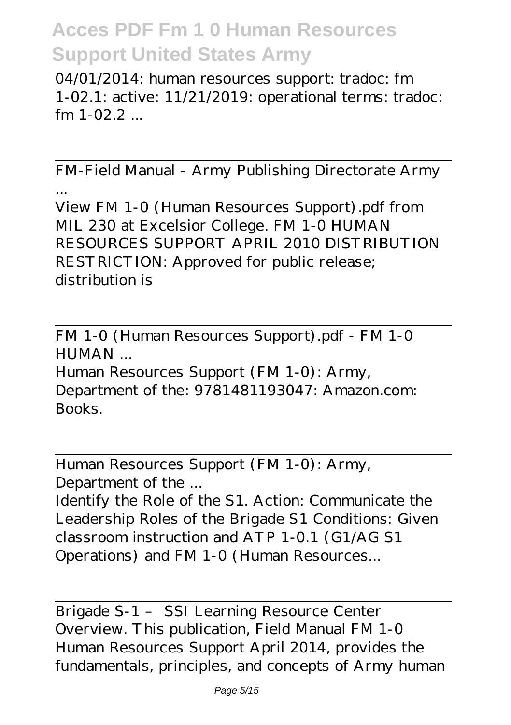04/01/2014: human resources support: tradoc: fm 1-02.1: active: 11/21/2019: operational terms: tradoc:  $fm$  1-02.2  $...$ 

FM-Field Manual - Army Publishing Directorate Army ...

View FM 1-0 (Human Resources Support).pdf from MIL 230 at Excelsior College. FM 1-0 HUMAN RESOURCES SUPPORT APRIL 2010 DISTRIBUTION RESTRICTION: Approved for public release; distribution is

FM 1-0 (Human Resources Support).pdf - FM 1-0 HUMAN ...

Human Resources Support (FM 1-0): Army, Department of the: 9781481193047: Amazon.com: Books.

Human Resources Support (FM 1-0): Army, Department of the ...

Identify the Role of the S1. Action: Communicate the Leadership Roles of the Brigade S1 Conditions: Given classroom instruction and ATP 1-0.1 (G1/AG S1 Operations) and FM 1-0 (Human Resources...

Brigade S-1 – SSI Learning Resource Center Overview. This publication, Field Manual FM 1-0 Human Resources Support April 2014, provides the fundamentals, principles, and concepts of Army human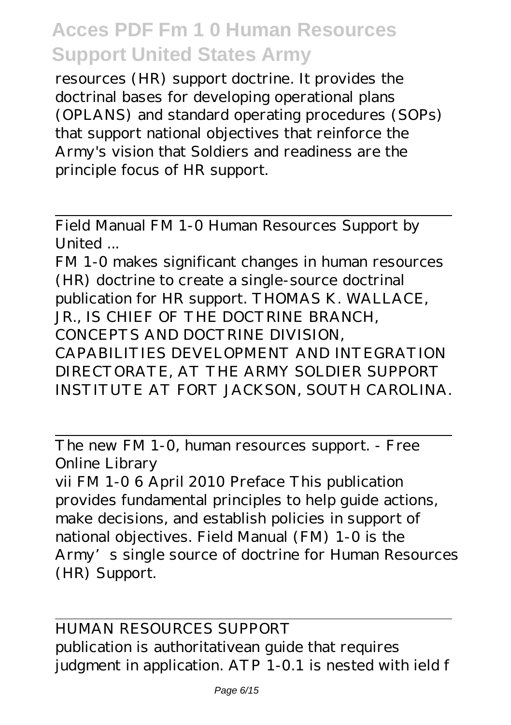resources (HR) support doctrine. It provides the doctrinal bases for developing operational plans (OPLANS) and standard operating procedures (SOPs) that support national objectives that reinforce the Army's vision that Soldiers and readiness are the principle focus of HR support.

Field Manual FM 1-0 Human Resources Support by United ...

FM 1-0 makes significant changes in human resources (HR) doctrine to create a single-source doctrinal publication for HR support. THOMAS K. WALLACE, JR., IS CHIEF OF THE DOCTRINE BRANCH, CONCEPTS AND DOCTRINE DIVISION, CAPABILITIES DEVELOPMENT AND INTEGRATION DIRECTORATE, AT THE ARMY SOLDIER SUPPORT INSTITUTE AT FORT JACKSON, SOUTH CAROLINA.

The new FM 1-0, human resources support. - Free Online Library

vii FM 1-0 6 April 2010 Preface This publication provides fundamental principles to help guide actions, make decisions, and establish policies in support of national objectives. Field Manual (FM) 1-0 is the Army's single source of doctrine for Human Resources (HR) Support.

HUMAN RESOURCES SUPPORT publication is authoritativean guide that requires judgment in application. ATP 1-0.1 is nested with ield f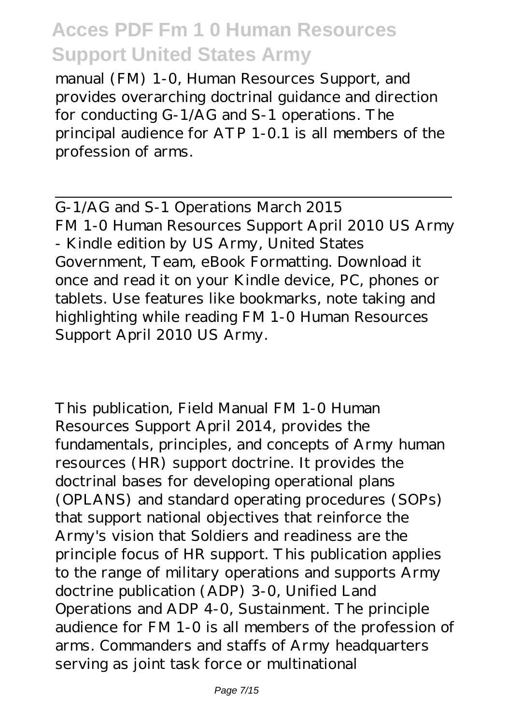manual (FM) 1-0, Human Resources Support, and provides overarching doctrinal guidance and direction for conducting G-1/AG and S-1 operations. The principal audience for ATP 1-0.1 is all members of the profession of arms.

G-1/AG and S-1 Operations March 2015 FM 1-0 Human Resources Support April 2010 US Army - Kindle edition by US Army, United States Government, Team, eBook Formatting. Download it once and read it on your Kindle device, PC, phones or tablets. Use features like bookmarks, note taking and highlighting while reading FM 1-0 Human Resources Support April 2010 US Army.

This publication, Field Manual FM 1-0 Human Resources Support April 2014, provides the fundamentals, principles, and concepts of Army human resources (HR) support doctrine. It provides the doctrinal bases for developing operational plans (OPLANS) and standard operating procedures (SOPs) that support national objectives that reinforce the Army's vision that Soldiers and readiness are the principle focus of HR support. This publication applies to the range of military operations and supports Army doctrine publication (ADP) 3-0, Unified Land Operations and ADP 4-0, Sustainment. The principle audience for FM 1-0 is all members of the profession of arms. Commanders and staffs of Army headquarters serving as joint task force or multinational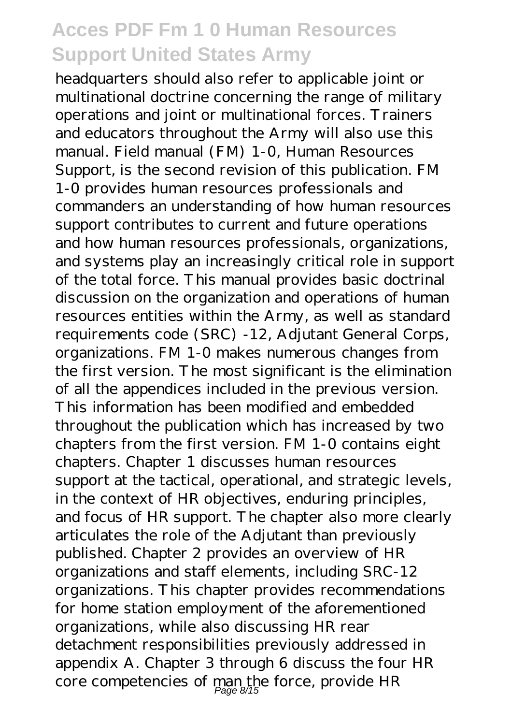headquarters should also refer to applicable joint or multinational doctrine concerning the range of military operations and joint or multinational forces. Trainers and educators throughout the Army will also use this manual. Field manual (FM) 1-0, Human Resources Support, is the second revision of this publication. FM 1-0 provides human resources professionals and commanders an understanding of how human resources support contributes to current and future operations and how human resources professionals, organizations, and systems play an increasingly critical role in support of the total force. This manual provides basic doctrinal discussion on the organization and operations of human resources entities within the Army, as well as standard requirements code (SRC) -12, Adjutant General Corps, organizations. FM 1-0 makes numerous changes from the first version. The most significant is the elimination of all the appendices included in the previous version. This information has been modified and embedded throughout the publication which has increased by two chapters from the first version. FM 1-0 contains eight chapters. Chapter 1 discusses human resources support at the tactical, operational, and strategic levels, in the context of HR objectives, enduring principles, and focus of HR support. The chapter also more clearly articulates the role of the Adjutant than previously published. Chapter 2 provides an overview of HR organizations and staff elements, including SRC-12 organizations. This chapter provides recommendations for home station employment of the aforementioned organizations, while also discussing HR rear detachment responsibilities previously addressed in appendix A. Chapter 3 through 6 discuss the four HR core competencies of man the force, provide HR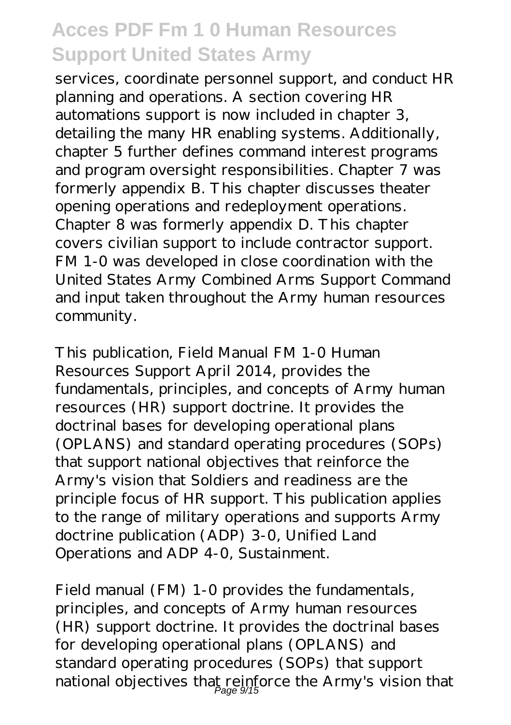services, coordinate personnel support, and conduct HR planning and operations. A section covering HR automations support is now included in chapter 3, detailing the many HR enabling systems. Additionally, chapter 5 further defines command interest programs and program oversight responsibilities. Chapter 7 was formerly appendix B. This chapter discusses theater opening operations and redeployment operations. Chapter 8 was formerly appendix D. This chapter covers civilian support to include contractor support. FM 1-0 was developed in close coordination with the United States Army Combined Arms Support Command and input taken throughout the Army human resources community.

This publication, Field Manual FM 1-0 Human Resources Support April 2014, provides the fundamentals, principles, and concepts of Army human resources (HR) support doctrine. It provides the doctrinal bases for developing operational plans (OPLANS) and standard operating procedures (SOPs) that support national objectives that reinforce the Army's vision that Soldiers and readiness are the principle focus of HR support. This publication applies to the range of military operations and supports Army doctrine publication (ADP) 3-0, Unified Land Operations and ADP 4-0, Sustainment.

Field manual (FM) 1-0 provides the fundamentals, principles, and concepts of Army human resources (HR) support doctrine. It provides the doctrinal bases for developing operational plans (OPLANS) and standard operating procedures (SOPs) that support national objectives that reinforce the Army's vision that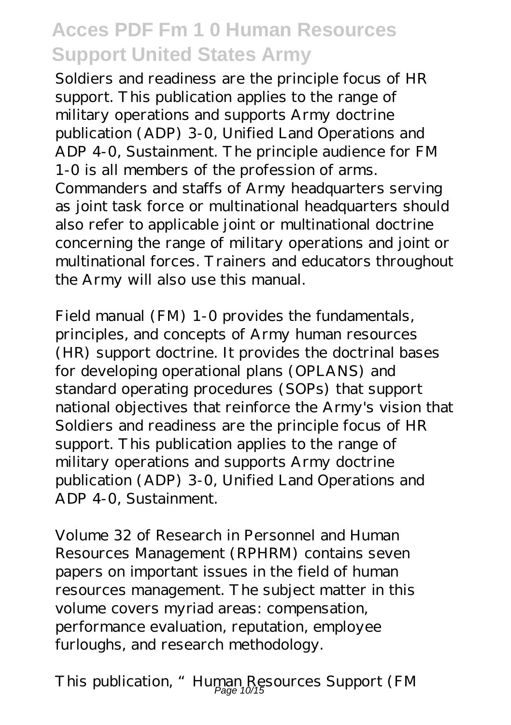Soldiers and readiness are the principle focus of HR support. This publication applies to the range of military operations and supports Army doctrine publication (ADP) 3-0, Unified Land Operations and ADP 4-0, Sustainment. The principle audience for FM 1-0 is all members of the profession of arms. Commanders and staffs of Army headquarters serving as joint task force or multinational headquarters should also refer to applicable joint or multinational doctrine concerning the range of military operations and joint or multinational forces. Trainers and educators throughout the Army will also use this manual.

Field manual (FM) 1-0 provides the fundamentals, principles, and concepts of Army human resources (HR) support doctrine. It provides the doctrinal bases for developing operational plans (OPLANS) and standard operating procedures (SOPs) that support national objectives that reinforce the Army's vision that Soldiers and readiness are the principle focus of HR support. This publication applies to the range of military operations and supports Army doctrine publication (ADP) 3-0, Unified Land Operations and ADP 4-0, Sustainment.

Volume 32 of Research in Personnel and Human Resources Management (RPHRM) contains seven papers on important issues in the field of human resources management. The subject matter in this volume covers myriad areas: compensation, performance evaluation, reputation, employee furloughs, and research methodology.

This publication, "Human Resources Support (FM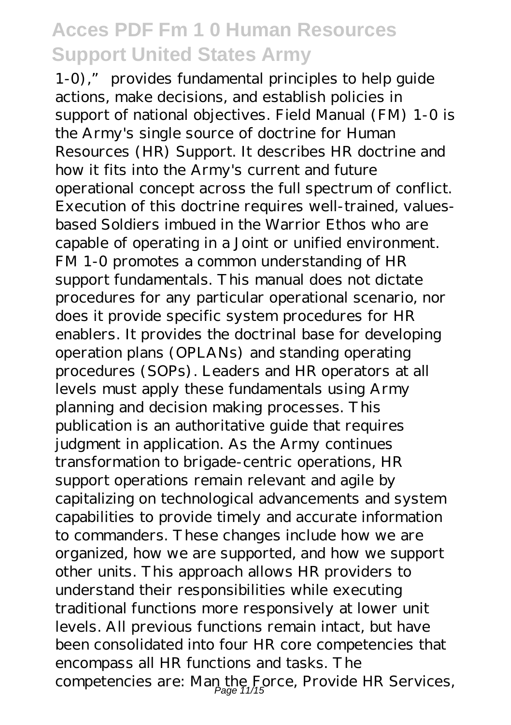1-0)," provides fundamental principles to help guide actions, make decisions, and establish policies in support of national objectives. Field Manual (FM) 1-0 is the Army's single source of doctrine for Human Resources (HR) Support. It describes HR doctrine and how it fits into the Army's current and future operational concept across the full spectrum of conflict. Execution of this doctrine requires well-trained, valuesbased Soldiers imbued in the Warrior Ethos who are capable of operating in a Joint or unified environment. FM 1-0 promotes a common understanding of HR support fundamentals. This manual does not dictate procedures for any particular operational scenario, nor does it provide specific system procedures for HR enablers. It provides the doctrinal base for developing operation plans (OPLANs) and standing operating procedures (SOPs). Leaders and HR operators at all levels must apply these fundamentals using Army planning and decision making processes. This publication is an authoritative guide that requires judgment in application. As the Army continues transformation to brigade-centric operations, HR support operations remain relevant and agile by capitalizing on technological advancements and system capabilities to provide timely and accurate information to commanders. These changes include how we are organized, how we are supported, and how we support other units. This approach allows HR providers to understand their responsibilities while executing traditional functions more responsively at lower unit levels. All previous functions remain intact, but have been consolidated into four HR core competencies that encompass all HR functions and tasks. The competencies are: Man the Force, Provide HR Services,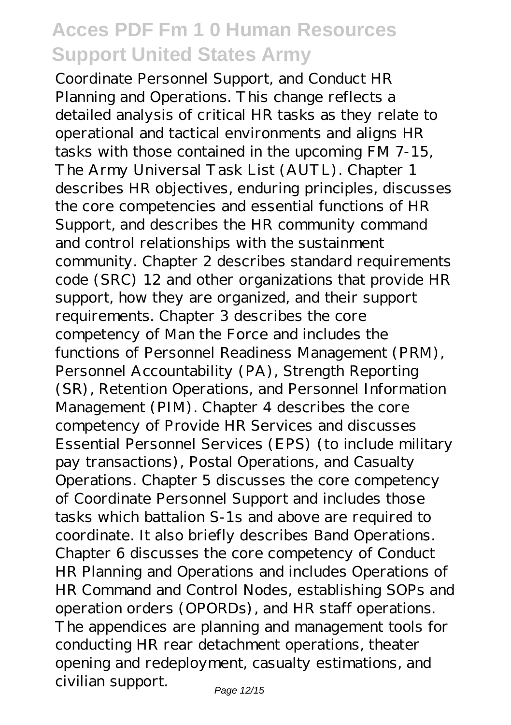Coordinate Personnel Support, and Conduct HR Planning and Operations. This change reflects a detailed analysis of critical HR tasks as they relate to operational and tactical environments and aligns HR tasks with those contained in the upcoming FM 7-15, The Army Universal Task List (AUTL). Chapter 1 describes HR objectives, enduring principles, discusses the core competencies and essential functions of HR Support, and describes the HR community command and control relationships with the sustainment community. Chapter 2 describes standard requirements code (SRC) 12 and other organizations that provide HR support, how they are organized, and their support requirements. Chapter 3 describes the core competency of Man the Force and includes the functions of Personnel Readiness Management (PRM), Personnel Accountability (PA), Strength Reporting (SR), Retention Operations, and Personnel Information Management (PIM). Chapter 4 describes the core competency of Provide HR Services and discusses Essential Personnel Services (EPS) (to include military pay transactions), Postal Operations, and Casualty Operations. Chapter 5 discusses the core competency of Coordinate Personnel Support and includes those tasks which battalion S-1s and above are required to coordinate. It also briefly describes Band Operations. Chapter 6 discusses the core competency of Conduct HR Planning and Operations and includes Operations of HR Command and Control Nodes, establishing SOPs and operation orders (OPORDs), and HR staff operations. The appendices are planning and management tools for conducting HR rear detachment operations, theater opening and redeployment, casualty estimations, and civilian support.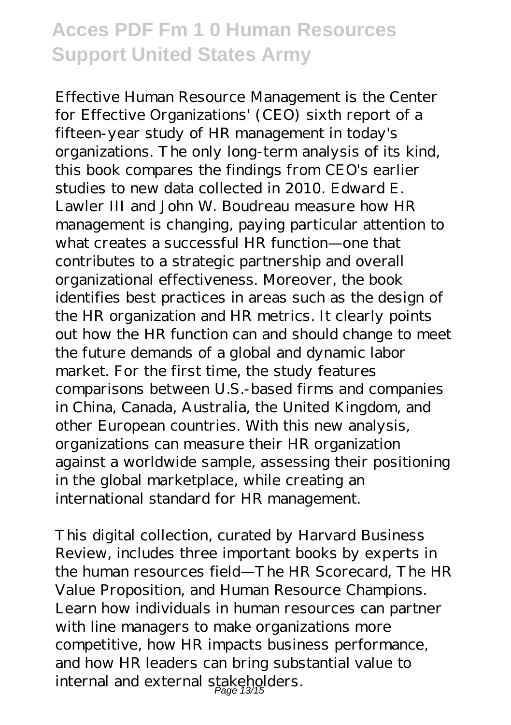Effective Human Resource Management is the Center for Effective Organizations' (CEO) sixth report of a fifteen-year study of HR management in today's organizations. The only long-term analysis of its kind, this book compares the findings from CEO's earlier studies to new data collected in 2010. Edward E. Lawler III and John W. Boudreau measure how HR management is changing, paying particular attention to what creates a successful HR function—one that contributes to a strategic partnership and overall organizational effectiveness. Moreover, the book identifies best practices in areas such as the design of the HR organization and HR metrics. It clearly points out how the HR function can and should change to meet the future demands of a global and dynamic labor market. For the first time, the study features comparisons between U.S.-based firms and companies in China, Canada, Australia, the United Kingdom, and other European countries. With this new analysis, organizations can measure their HR organization against a worldwide sample, assessing their positioning in the global marketplace, while creating an international standard for HR management.

This digital collection, curated by Harvard Business Review, includes three important books by experts in the human resources field—The HR Scorecard, The HR Value Proposition, and Human Resource Champions. Learn how individuals in human resources can partner with line managers to make organizations more competitive, how HR impacts business performance, and how HR leaders can bring substantial value to internal and external stakeholders.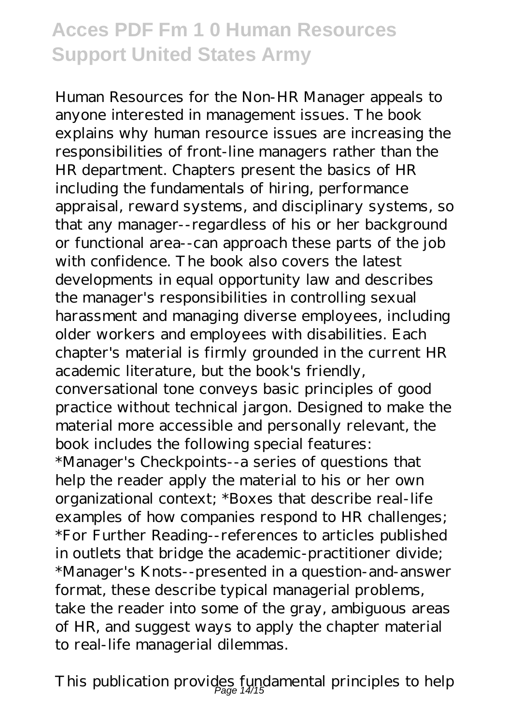Human Resources for the Non-HR Manager appeals to anyone interested in management issues. The book explains why human resource issues are increasing the responsibilities of front-line managers rather than the HR department. Chapters present the basics of HR including the fundamentals of hiring, performance appraisal, reward systems, and disciplinary systems, so that any manager--regardless of his or her background or functional area--can approach these parts of the job with confidence. The book also covers the latest developments in equal opportunity law and describes the manager's responsibilities in controlling sexual harassment and managing diverse employees, including older workers and employees with disabilities. Each chapter's material is firmly grounded in the current HR academic literature, but the book's friendly, conversational tone conveys basic principles of good practice without technical jargon. Designed to make the material more accessible and personally relevant, the book includes the following special features: \*Manager's Checkpoints--a series of questions that help the reader apply the material to his or her own organizational context; \*Boxes that describe real-life examples of how companies respond to HR challenges; \*For Further Reading--references to articles published in outlets that bridge the academic-practitioner divide; \*Manager's Knots--presented in a question-and-answer format, these describe typical managerial problems, take the reader into some of the gray, ambiguous areas of HR, and suggest ways to apply the chapter material to real-life managerial dilemmas.

This publication provides fundamental principles to help Page 14/15